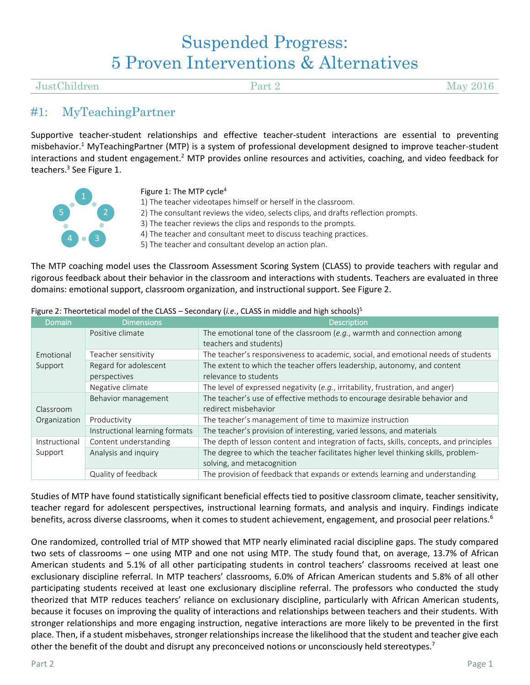# Suspended Progress: 5 Proven Interventions & Alternatives

#### JustChildren Part 2 May 2016

### #1: MyTeachingPartner

Supportive teacher-student relationships and effective teacher-student interactions are essential to preventing misbehavior.<sup>1</sup> MyTeachingPartner (MTP) is a system of professional development designed to improve teacher-student interactions and student engagement.<sup>2</sup> MTP provides online resources and activities, coaching, and video feedback for teachers.<sup>3</sup> See Figure 1.



#### Figure 1: The MTP cycle<sup>4</sup>

- 1) The teacher videotapes himself or herself in the classroom.
- 2) The consultant reviews the video, selects clips, and drafts reflection prompts.
- 3) The teacher reviews the clips and responds to the prompts.
- 4) The teacher and consultant meet to discuss teaching practices.

5) The teacher and consultant develop an action plan.

The MTP coaching model uses the Classroom Assessment Scoring System (CLASS) to provide teachers with regular and rigorous feedback about their behavior in the classroom and interactions with students. Teachers are evaluated in three domains: emotional support, classroom organization, and instructional support. See Figure 2.

| <b>Domain</b>        | <b>Dimensions</b>              | <b>Description</b>                                                                     |  |
|----------------------|--------------------------------|----------------------------------------------------------------------------------------|--|
| Emotional<br>Support | Positive climate               | The emotional tone of the classroom (e.g., warmth and connection among                 |  |
|                      |                                | teachers and students)                                                                 |  |
|                      | Teacher sensitivity            | The teacher's responsiveness to academic, social, and emotional needs of students      |  |
|                      | Regard for adolescent          | The extent to which the teacher offers leadership, autonomy, and content               |  |
|                      | perspectives                   | relevance to students                                                                  |  |
|                      | Negative climate               | The level of expressed negativity (e.g., irritability, frustration, and anger)         |  |
|                      | Behavior management            | The teacher's use of effective methods to encourage desirable behavior and             |  |
| Classroom            |                                | redirect misbehavior                                                                   |  |
| Organization         | Productivity                   | The teacher's management of time to maximize instruction                               |  |
|                      | Instructional learning formats | The teacher's provision of interesting, varied lessons, and materials                  |  |
| Instructional        | Content understanding          | The depth of lesson content and integration of facts, skills, concepts, and principles |  |
| Support              | Analysis and inquiry           | The degree to which the teacher facilitates higher level thinking skills, problem-     |  |
|                      |                                | solving, and metacognition                                                             |  |
|                      | Quality of feedback            | The provision of feedback that expands or extends learning and understanding           |  |

Figure 2: Theortetical model of the CLASS – Secondary (*i.e.*, CLASS in middle and high schools)<sup>5</sup>

Studies of MTP have found statistically significant beneficial effects tied to positive classroom climate, teacher sensitivity, teacher regard for adolescent perspectives, instructional learning formats, and analysis and inquiry. Findings indicate benefits, across diverse classrooms, when it comes to student achievement, engagement, and prosocial peer relations.<sup>6</sup>

One randomized, controlled trial of MTP showed that MTP nearly eliminated racial discipline gaps. The study compared two sets of classrooms – one using MTP and one not using MTP. The study found that, on average, 13.7% of African American students and 5.1% of all other participating students in control teachers' classrooms received at least one exclusionary discipline referral. In MTP teachers' classrooms, 6.0% of African American students and 5.8% of all other participating students received at least one exclusionary discipline referral. The professors who conducted the study theorized that MTP reduces teachers' reliance on exclusionary discipline, particularly with African American students, because it focuses on improving the quality of interactions and relationships between teachers and their students. With stronger relationships and more engaging instruction, negative interactions are more likely to be prevented in the first place. Then, if a student misbehaves, stronger relationships increase the likelihood that the student and teacher give each other the benefit of the doubt and disrupt any preconceived notions or unconsciously held stereotypes.<sup>7</sup>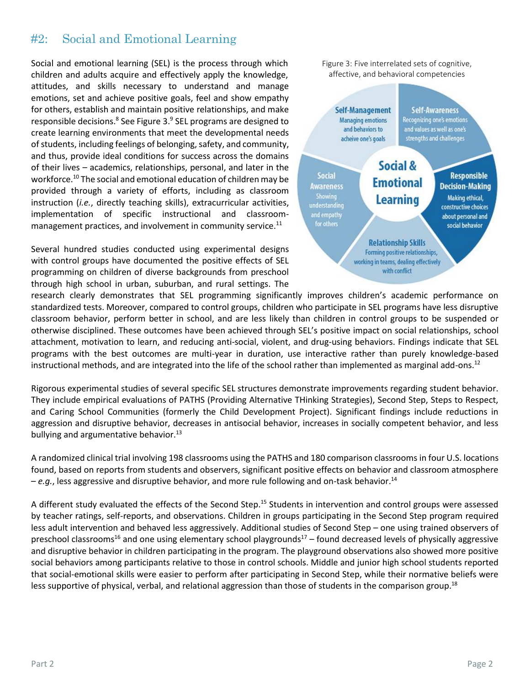### #2: Social and Emotional Learning

Social and emotional learning (SEL) is the process through which children and adults acquire and effectively apply the knowledge, attitudes, and skills necessary to understand and manage emotions, set and achieve positive goals, feel and show empathy for others, establish and maintain positive relationships, and make responsible decisions.<sup>8</sup> See Figure 3.<sup>9</sup> SEL programs are designed to create learning environments that meet the developmental needs of students, including feelings of belonging, safety, and community, and thus, provide ideal conditions for success across the domains of their lives – academics, relationships, personal, and later in the workforce.<sup>10</sup> The social and emotional education of children may be provided through a variety of efforts, including as classroom instruction (*i.e.*, directly teaching skills), extracurricular activities, implementation of specific instructional and classroommanagement practices, and involvement in community service.<sup>11</sup>

Several hundred studies conducted using experimental designs with control groups have documented the positive effects of SEL programming on children of diverse backgrounds from preschool through high school in urban, suburban, and rural settings. The



research clearly demonstrates that SEL programming significantly improves children's academic performance on standardized tests. Moreover, compared to control groups, children who participate in SEL programs have less disruptive classroom behavior, perform better in school, and are less likely than children in control groups to be suspended or otherwise disciplined. These outcomes have been achieved through SEL's positive impact on social relationships, school attachment, motivation to learn, and reducing anti-social, violent, and drug-using behaviors. Findings indicate that SEL programs with the best outcomes are multi-year in duration, use interactive rather than purely knowledge-based instructional methods, and are integrated into the life of the school rather than implemented as marginal add-ons.<sup>12</sup>

Rigorous experimental studies of several specific SEL structures demonstrate improvements regarding student behavior. They include empirical evaluations of PATHS (Providing Alternative THinking Strategies), Second Step, Steps to Respect, and Caring School Communities (formerly the Child Development Project). Significant findings include reductions in aggression and disruptive behavior, decreases in antisocial behavior, increases in socially competent behavior, and less bullying and argumentative behavior.<sup>13</sup>

A randomized clinical trial involving 198 classrooms using the PATHS and 180 comparison classrooms in four U.S. locations found, based on reports from students and observers, significant positive effects on behavior and classroom atmosphere – *e.g.*, less aggressive and disruptive behavior, and more rule following and on-task behavior.<sup>14</sup>

A different study evaluated the effects of the Second Step.<sup>15</sup> Students in intervention and control groups were assessed by teacher ratings, self-reports, and observations. Children in groups participating in the Second Step program required less adult intervention and behaved less aggressively. Additional studies of Second Step – one using trained observers of preschool classrooms<sup>16</sup> and one using elementary school playgrounds<sup>17</sup> – found decreased levels of physically aggressive and disruptive behavior in children participating in the program. The playground observations also showed more positive social behaviors among participants relative to those in control schools. Middle and junior high school students reported that social-emotional skills were easier to perform after participating in Second Step, while their normative beliefs were less supportive of physical, verbal, and relational aggression than those of students in the comparison group.<sup>18</sup>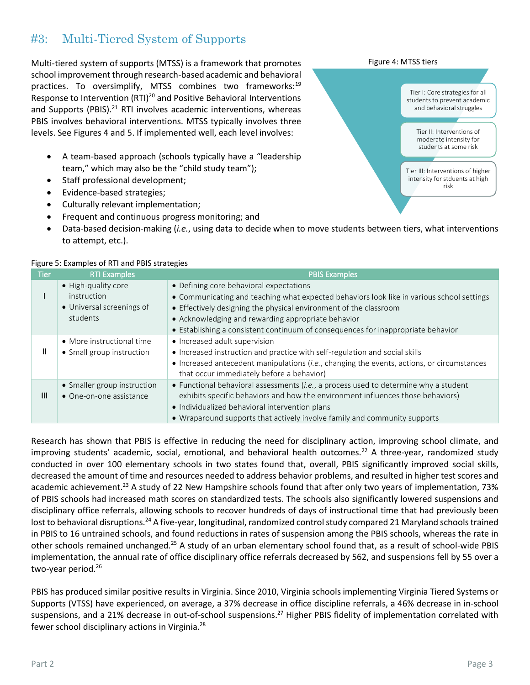## #3: Multi-Tiered System of Supports

Multi-tiered system of supports (MTSS) is a framework that promotes school improvement through research-based academic and behavioral practices. To oversimplify, MTSS combines two frameworks:<sup>19</sup> Response to Intervention (RTI)<sup>20</sup> and Positive Behavioral Interventions and Supports (PBIS). $^{21}$  RTI involves academic interventions, whereas PBIS involves behavioral interventions. MTSS typically involves three levels. See Figures 4 and 5. If implemented well, each level involves:

- A team-based approach (schools typically have a "leadership team," which may also be the "child study team");
- Staff professional development;
- Evidence-based strategies;
- Culturally relevant implementation;
- Frequent and continuous progress monitoring; and
- Data-based decision-making (*i.e.*, using data to decide when to move students between tiers, what interventions to attempt, etc.).

| i isai c b. Examples or it if and I bis stratesics |                                                                             |                                                                                                                                                                                                                                                                                                                                                     |  |  |
|----------------------------------------------------|-----------------------------------------------------------------------------|-----------------------------------------------------------------------------------------------------------------------------------------------------------------------------------------------------------------------------------------------------------------------------------------------------------------------------------------------------|--|--|
| Tier                                               | <b>RTI Examples</b>                                                         | <b>PBIS Examples</b>                                                                                                                                                                                                                                                                                                                                |  |  |
|                                                    | • High-quality core<br>instruction<br>• Universal screenings of<br>students | • Defining core behavioral expectations<br>• Communicating and teaching what expected behaviors look like in various school settings<br>• Effectively designing the physical environment of the classroom<br>• Acknowledging and rewarding appropriate behavior<br>• Establishing a consistent continuum of consequences for inappropriate behavior |  |  |
| Ш                                                  | • More instructional time<br>• Small group instruction                      | • Increased adult supervision<br>• Increased instruction and practice with self-regulation and social skills<br>• Increased antecedent manipulations (i.e., changing the events, actions, or circumstances<br>that occur immediately before a behavior)                                                                                             |  |  |
| $\mathbf{III}$                                     | • Smaller group instruction<br>• One-on-one assistance                      | • Functional behavioral assessments (i.e., a process used to determine why a student<br>exhibits specific behaviors and how the environment influences those behaviors)<br>• Individualized behavioral intervention plans<br>• Wraparound supports that actively involve family and community supports                                              |  |  |

#### Figure 5: Examples of RTI and PBIS strategies

Research has shown that PBIS is effective in reducing the need for disciplinary action, improving school climate, and improving students' academic, social, emotional, and behavioral health outcomes.<sup>22</sup> A three-year, randomized study conducted in over 100 elementary schools in two states found that, overall, PBIS significantly improved social skills, decreased the amount of time and resources needed to address behavior problems, and resulted in higher test scores and academic achievement.<sup>23</sup> A study of 22 New Hampshire schools found that after only two years of implementation, 73% of PBIS schools had increased math scores on standardized tests. The schools also significantly lowered suspensions and disciplinary office referrals, allowing schools to recover hundreds of days of instructional time that had previously been lost to behavioral disruptions.<sup>24</sup> A five-year, longitudinal, randomized control study compared 21 Maryland schools trained in PBIS to 16 untrained schools, and found reductions in rates of suspension among the PBIS schools, whereas the rate in other schools remained unchanged.<sup>25</sup> A study of an urban elementary school found that, as a result of school-wide PBIS implementation, the annual rate of office disciplinary office referrals decreased by 562, and suspensions fell by 55 over a two-year period.<sup>26</sup>

PBIS has produced similar positive results in Virginia. Since 2010, Virginia schools implementing Virginia Tiered Systems or Supports (VTSS) have experienced, on average, a 37% decrease in office discipline referrals, a 46% decrease in in-school suspensions, and a 21% decrease in out-of-school suspensions.<sup>27</sup> Higher PBIS fidelity of implementation correlated with fewer school disciplinary actions in Virginia.<sup>28</sup>

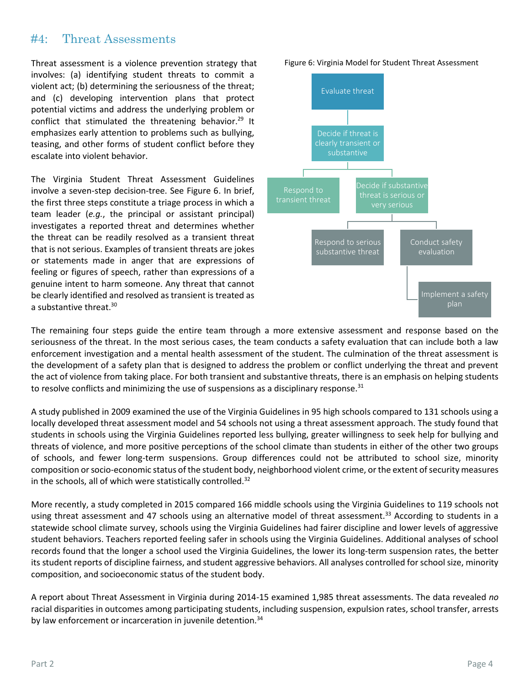### #4: Threat Assessments

Threat assessment is a violence prevention strategy that involves: (a) identifying student threats to commit a violent act; (b) determining the seriousness of the threat; and (c) developing intervention plans that protect potential victims and address the underlying problem or conflict that stimulated the threatening behavior.<sup>29</sup> It emphasizes early attention to problems such as bullying, teasing, and other forms of student conflict before they escalate into violent behavior.

The Virginia Student Threat Assessment Guidelines involve a seven-step decision-tree. See Figure 6. In brief, the first three steps constitute a triage process in which a team leader (*e.g.*, the principal or assistant principal) investigates a reported threat and determines whether the threat can be readily resolved as a transient threat that is not serious. Examples of transient threats are jokes or statements made in anger that are expressions of feeling or figures of speech, rather than expressions of a genuine intent to harm someone. Any threat that cannot be clearly identified and resolved as transient is treated as a substantive threat.<sup>30</sup>



The remaining four steps guide the entire team through a more extensive assessment and response based on the seriousness of the threat. In the most serious cases, the team conducts a safety evaluation that can include both a law enforcement investigation and a mental health assessment of the student. The culmination of the threat assessment is the development of a safety plan that is designed to address the problem or conflict underlying the threat and prevent the act of violence from taking place. For both transient and substantive threats, there is an emphasis on helping students to resolve conflicts and minimizing the use of suspensions as a disciplinary response. $31$ 

A study published in 2009 examined the use of the Virginia Guidelines in 95 high schools compared to 131 schools using a locally developed threat assessment model and 54 schools not using a threat assessment approach. The study found that students in schools using the Virginia Guidelines reported less bullying, greater willingness to seek help for bullying and threats of violence, and more positive perceptions of the school climate than students in either of the other two groups of schools, and fewer long-term suspensions. Group differences could not be attributed to school size, minority composition or socio-economic status of the student body, neighborhood violent crime, or the extent of security measures in the schools, all of which were statistically controlled.<sup>32</sup>

More recently, a study completed in 2015 compared 166 middle schools using the Virginia Guidelines to 119 schools not using threat assessment and 47 schools using an alternative model of threat assessment.<sup>33</sup> According to students in a statewide school climate survey, schools using the Virginia Guidelines had fairer discipline and lower levels of aggressive student behaviors. Teachers reported feeling safer in schools using the Virginia Guidelines. Additional analyses of school records found that the longer a school used the Virginia Guidelines, the lower its long-term suspension rates, the better its student reports of discipline fairness, and student aggressive behaviors. All analyses controlled for school size, minority composition, and socioeconomic status of the student body.

A report about Threat Assessment in Virginia during 2014-15 examined 1,985 threat assessments. The data revealed *no* racial disparities in outcomes among participating students, including suspension, expulsion rates, school transfer, arrests by law enforcement or incarceration in juvenile detention.<sup>34</sup>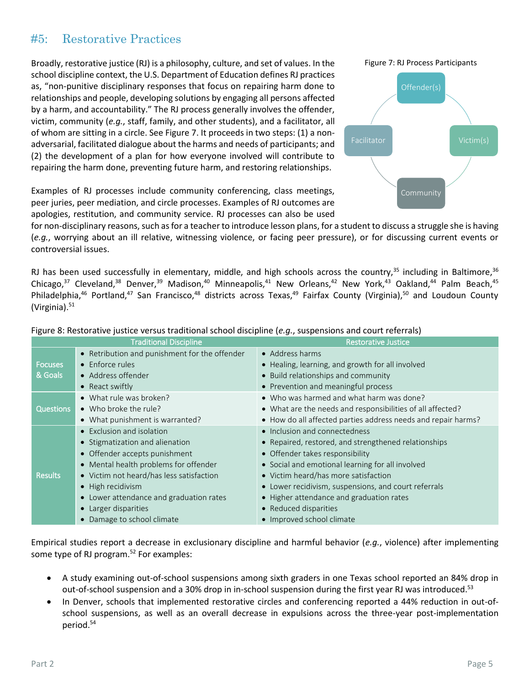### #5: Restorative Practices

Broadly, restorative justice (RJ) is a philosophy, culture, and set of values. In the school discipline context, the U.S. Department of Education defines RJ practices as, "non-punitive disciplinary responses that focus on repairing harm done to relationships and people, developing solutions by engaging all persons affected by a harm, and accountability." The RJ process generally involves the offender, victim, community (*e.g.*, staff, family, and other students), and a facilitator, all of whom are sitting in a circle. See Figure 7. It proceeds in two steps: (1) a nonadversarial, facilitated dialogue about the harms and needs of participants; and (2) the development of a plan for how everyone involved will contribute to repairing the harm done, preventing future harm, and restoring relationships.

Examples of RJ processes include community conferencing, class meetings, peer juries, peer mediation, and circle processes. Examples of RJ outcomes are apologies, restitution, and community service. RJ processes can also be used



for non-disciplinary reasons, such as for a teacher to introduce lesson plans, for a student to discuss a struggle she is having (*e.g.*, worrying about an ill relative, witnessing violence, or facing peer pressure), or for discussing current events or controversial issues.

RJ has been used successfully in elementary, middle, and high schools across the country, $35$  including in Baltimore,  $36$ Chicago,<sup>37</sup> Cleveland,<sup>38</sup> Denver,<sup>39</sup> Madison,<sup>40</sup> Minneapolis,<sup>41</sup> New Orleans,<sup>42</sup> New York,<sup>43</sup> Oakland,<sup>44</sup> Palm Beach,<sup>45</sup> Philadelphia,<sup>46</sup> Portland,<sup>47</sup> San Francisco,<sup>48</sup> districts across Texas,<sup>49</sup> Fairfax County (Virginia),<sup>50</sup> and Loudoun County (Virginia). $51$ 

| <b>Traditional Discipline</b> |                                               | <b>Restorative Justice</b>                                    |
|-------------------------------|-----------------------------------------------|---------------------------------------------------------------|
|                               | • Retribution and punishment for the offender | • Address harms                                               |
| <b>Focuses</b>                | • Enforce rules                               | • Healing, learning, and growth for all involved              |
| & Goals                       | • Address offender                            | • Build relationships and community                           |
|                               | • React swiftly                               | • Prevention and meaningful process                           |
| <b>Questions</b>              | • What rule was broken?                       | • Who was harmed and what harm was done?                      |
|                               | $\bullet$ Who broke the rule?                 | • What are the needs and responsibilities of all affected?    |
|                               | • What punishment is warranted?               | • How do all affected parties address needs and repair harms? |
| <b>Results</b>                | • Exclusion and isolation                     | • Inclusion and connectedness                                 |
|                               | • Stigmatization and alienation               | • Repaired, restored, and strengthened relationships          |
|                               | • Offender accepts punishment                 | • Offender takes responsibility                               |
|                               | • Mental health problems for offender         | • Social and emotional learning for all involved              |
|                               | • Victim not heard/has less satisfaction      | • Victim heard/has more satisfaction                          |
|                               | • High recidivism                             | • Lower recidivism, suspensions, and court referrals          |
|                               | • Lower attendance and graduation rates       | • Higher attendance and graduation rates                      |
|                               | • Larger disparities                          | • Reduced disparities                                         |
|                               | • Damage to school climate                    | • Improved school climate                                     |

Figure 8: Restorative justice versus traditional school discipline (*e.g.*, suspensions and court referrals)

Empirical studies report a decrease in exclusionary discipline and harmful behavior (*e.g.*, violence) after implementing some type of RJ program.<sup>52</sup> For examples:

- A study examining out-of-school suspensions among sixth graders in one Texas school reported an 84% drop in out-of-school suspension and a 30% drop in in-school suspension during the first year RJ was introduced.<sup>53</sup>
- In Denver, schools that implemented restorative circles and conferencing reported a 44% reduction in out-ofschool suspensions, as well as an overall decrease in expulsions across the three-year post-implementation period.<sup>54</sup>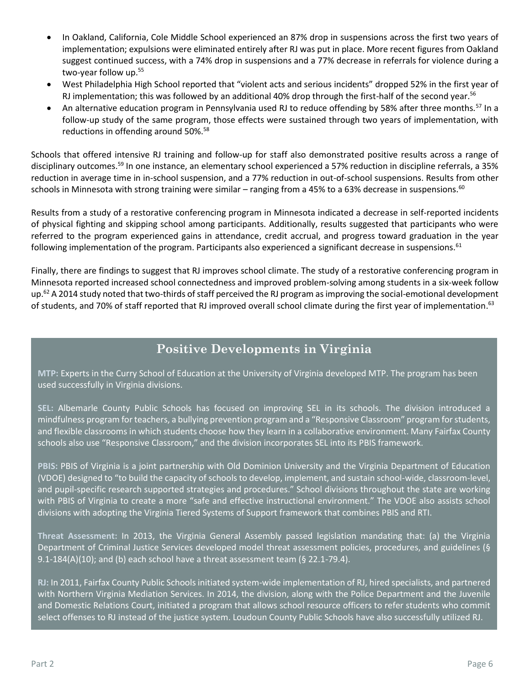- In Oakland, California, Cole Middle School experienced an 87% drop in suspensions across the first two years of implementation; expulsions were eliminated entirely after RJ was put in place. More recent figures from Oakland suggest continued success, with a 74% drop in suspensions and a 77% decrease in referrals for violence during a two-year follow up.<sup>55</sup>
- West Philadelphia High School reported that "violent acts and serious incidents" dropped 52% in the first year of RJ implementation; this was followed by an additional 40% drop through the first-half of the second year.<sup>56</sup>
- An alternative education program in Pennsylvania used RJ to reduce offending by 58% after three months.<sup>57</sup> In a follow-up study of the same program, those effects were sustained through two years of implementation, with reductions in offending around 50%.<sup>58</sup>

Schools that offered intensive RJ training and follow-up for staff also demonstrated positive results across a range of disciplinary outcomes.<sup>59</sup> In one instance, an elementary school experienced a 57% reduction in discipline referrals, a 35% reduction in average time in in-school suspension, and a 77% reduction in out-of-school suspensions. Results from other schools in Minnesota with strong training were similar – ranging from a 45% to a 63% decrease in suspensions.<sup>60</sup>

Results from a study of a restorative conferencing program in Minnesota indicated a decrease in self-reported incidents of physical fighting and skipping school among participants. Additionally, results suggested that participants who were referred to the program experienced gains in attendance, credit accrual, and progress toward graduation in the year following implementation of the program. Participants also experienced a significant decrease in suspensions.<sup>61</sup>

Finally, there are findings to suggest that RJ improves school climate. The study of a restorative conferencing program in Minnesota reported increased school connectedness and improved problem-solving among students in a six-week follow up.<sup>62</sup> A 2014 study noted that two-thirds of staff perceived the RJ program as improving the social-emotional development of students, and 70% of staff reported that RJ improved overall school climate during the first year of implementation.<sup>63</sup>

# **Positive Developments in Virginia**

**MTP:** Experts in the Curry School of Education at the University of Virginia developed MTP. The program has been used successfully in Virginia divisions.

**SEL:** Albemarle County Public Schools has focused on improving SEL in its schools. The division introduced a mindfulness program for teachers, a bullying prevention program and a "Responsive Classroom" program for students, and flexible classrooms in which students choose how they learn in a collaborative environment. Many Fairfax County schools also use "Responsive Classroom," and the division incorporates SEL into its PBIS framework.

**PBIS:** PBIS of Virginia is a joint partnership with Old Dominion University and the Virginia Department of Education (VDOE) designed to "to build the capacity of schools to develop, implement, and sustain school-wide, classroom-level, and pupil-specific research supported strategies and procedures." School divisions throughout the state are working with PBIS of Virginia to create a more "safe and effective instructional environment." The VDOE also assists school divisions with adopting the Virginia Tiered Systems of Support framework that combines PBIS and RTI.

**Threat Assessment:** In 2013, the Virginia General Assembly passed legislation mandating that: (a) the Virginia Department of Criminal Justice Services developed model threat assessment policies, procedures, and guidelines (§ 9.1-184(A)(10); and (b) each school have a threat assessment team (§ 22.1-79.4).

**RJ:** In 2011, Fairfax County Public Schools initiated system-wide implementation of RJ, hired specialists, and partnered with Northern Virginia Mediation Services. In 2014, the division, along with the Police Department and the Juvenile and Domestic Relations Court, initiated a program that allows school resource officers to refer students who commit select offenses to RJ instead of the justice system. Loudoun County Public Schools have also successfully utilized RJ.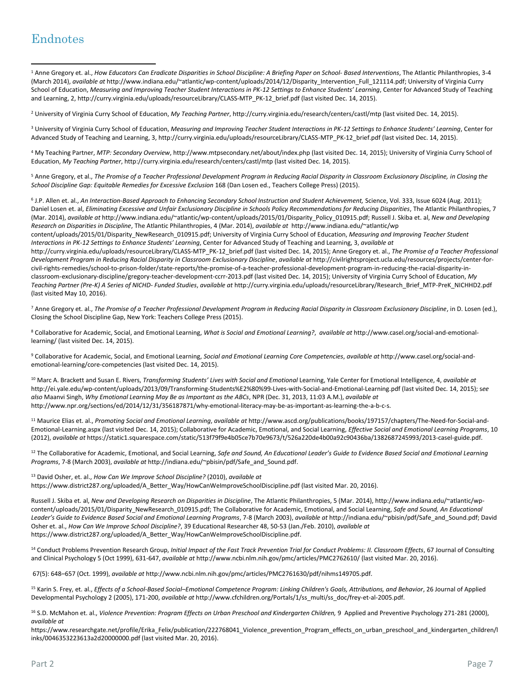# Endnotes

 $\overline{\phantom{a}}$ 

<sup>1</sup> Anne Gregory et. al., *Ho*w *Educators Can Eradicate Disparities in School Discipline: A Briefing Paper on School- Based Interventions*, The Atlantic Philanthropies, 3-4 (March 2014), *available at* http://www.indiana.edu/~atlantic/wp-content/uploads/2014/12/Disparity\_Intervention\_Full\_121114.pdf; University of Virginia Curry School of Education, *Measuring and Improving Teacher Student Interactions in PK-12 Settings to Enhance Students' Learning*, Center for Advanced Study of Teaching and Learning, 2, http://curry.virginia.edu/uploads/resourceLibrary/CLASS-MTP\_PK-12\_brief.pdf (last visited Dec. 14, 2015).

<sup>2</sup> University of Virginia Curry School of Education, *My Teaching Partner*, http://curry.virginia.edu/research/centers/castl/mtp (last visited Dec. 14, 2015).

<sup>3</sup> University of Virginia Curry School of Education, *Measuring and Improving Teacher Student Interactions in PK-12 Settings to Enhance Students' Learning*, Center for Advanced Study of Teaching and Learning, 3, http://curry.virginia.edu/uploads/resourceLibrary/CLASS-MTP\_PK-12\_brief.pdf (last visited Dec. 14, 2015).

<sup>4</sup> My Teaching Partner, *MTP: Secondary Overview*, http://www.mtpsecondary.net/about/index.php (last visited Dec. 14, 2015); University of Virginia Curry School of Education, *My Teaching Partner*, http://curry.virginia.edu/research/centers/castl/mtp (last visited Dec. 14, 2015).

<sup>5</sup> Anne Gregory, et al., *The Promise of a Teacher Professional Development Program in Reducing Racial Disparity in Classroom Exclusionary Discipline, in Closing the School Discipline Gap: Equitable Remedies for Excessive Exclusion* 168 (Dan Losen ed., Teachers College Press) (2015).

6 J.P. Allen et. al., *An Interaction-Based Approach to Enhancing Secondary School Instruction and Student Achievement,* Science, Vol. 333, Issue 6024 (Aug. 2011); Daniel Losen et. al, *Eliminating Excessive and Unfair Exclusionary Discipline in Schools Policy Recommendations for Reducing Disparities*, The Atlantic Philanthropies, 7 (Mar. 2014), *available at* http://www.indiana.edu/~atlantic/wp-content/uploads/2015/01/Disparity\_Policy\_010915.pdf; Russell J. Skiba et. al, *New and Developing Research on Disparities in Discipline*, The Atlantic Philanthropies, 4 (Mar. 2014), *available at* http://www.indiana.edu/~atlantic/wp

content/uploads/2015/01/Disparity\_NewResearch\_010915.pdf; University of Virginia Curry School of Education, *Measuring and Improving Teacher Student Interactions in PK-12 Settings to Enhance Students' Learning*, Center for Advanced Study of Teaching and Learning, 3, *available at* 

http://curry.virginia.edu/uploads/resourceLibrary/CLASS-MTP\_PK-12\_brief.pdf (last visited Dec. 14, 2015); Anne Gregory et. al., *The Promise of a Teacher Professional Development Program in Reducing Racial Disparity in Classroom Exclusionary Discipline*, *available at* http://civilrightsproject.ucla.edu/resources/projects/center-forcivil-rights-remedies/school-to-prison-folder/state-reports/the-promise-of-a-teacher-professional-development-program-in-reducing-the-racial-disparity-inclassroom-exclusionary-discipline/gregory-teacher-development-ccrr-2013.pdf (last visited Dec. 14, 2015); University of Virginia Curry School of Education, *My Teaching Partner (Pre-K) A Series of NICHD- Funded Studies*, *available at* [http://curry.virginia.edu/uploads/resourceLibrary/Research\\_Brief\\_MTP-PreK\\_NICHHD2.pdf](http://curry.virginia.edu/uploads/resourceLibrary/Research_Brief_MTP-PreK_NICHHD2.pdf) (last visited May 10, 2016).

<sup>7</sup> Anne Gregory et. al., *The Promise of a Teacher Professional Development Program in Reducing Racial Disparity in Classroom Exclusionary Discipline*, in D. Losen (ed.), Closing the School Discipline Gap, New York: Teachers College Press (2015).

<sup>8</sup> Collaborative for Academic, Social, and Emotional Learning, *What is Social and Emotional Learning?*, *available at* http://www.casel.org/social-and-emotionallearning/ (last visited Dec. 14, 2015).

<sup>9</sup> Collaborative for Academic, Social, and Emotional Learning, *Social and Emotional Learning Core Competencies*, *available at* http://www.casel.org/social-andemotional-learning/core-competencies (last visited Dec. 14, 2015).

<sup>10</sup> Marc A. Brackett and Susan E. Rivers, *Transforming Students' Lives with Social and Emotional* Learning, Yale Center for Emotional Intelligence, 4, *available at* http://ei.yale.edu/wp-content/uploads/2013/09/Transforming-Students%E2%80%99-Lives-with-Social-and-Emotional-Learning.pdf (last visited Dec. 14, 2015); s*ee also* Maanvi Singh, *Why Emotional Learning May Be as Important as the ABCs*, NPR (Dec. 31, 2013, 11:03 A.M.), *available at*  http://www.npr.org/sections/ed/2014/12/31/356187871/why-emotional-literacy-may-be-as-important-as-learning-the-a-b-c-s.

<sup>11</sup> Maurice Elias et. al., Promoting Social and Emotional Learning, available at http://www.ascd.org/publications/books/197157/chapters/The-Need-for-Social-and-Emotional-Learning.aspx (last visited Dec. 14, 2015); Collaborative for Academic, Emotional, and Social Learning, *Effective Social and Emotional Learning Programs*, 10 (2012), *available at* https://static1.squarespace.com/static/513f79f9e4b05ce7b70e9673/t/526a220de4b00a92c90436ba/1382687245993/2013-casel-guide.pdf.

<sup>12</sup> The Collaborative for Academic, Emotional, and Social Learning, Safe and Sound, An Educational Leader's Guide to Evidence Based Social and Emotional Learning *Programs*, 7-8 (March 2003), *available at* http://indiana.edu/~pbisin/pdf/Safe\_and\_Sound.pdf.

<sup>13</sup> David Osher, et. al., *How Can We Improve School Discipline?* (2010), *available at* https://www.district287.org/uploaded/A\_Better\_Way/HowCanWeImproveSchoolDiscipline.pdf (last visited Mar. 20, 2016).

Russell J. Skiba et. al, *New and Developing Research on Disparities in Discipline*, The Atlantic Philanthropies, 5 (Mar. 2014), http://www.indiana.edu/~atlantic/wpcontent/uploads/2015/01/Disparity\_NewResearch\_010915.pdf; The Collaborative for Academic, Emotional, and Social Learning, *Safe and Sound, An Educational Leader's Guide to Evidence Based Social and Emotional Learning Programs*, 7-8 (March 2003), *available at* http://indiana.edu/~pbisin/pdf/Safe\_and\_Sound.pdf; David Osher et. al., *How Can We Improve School Discipline?*, 39 Educational Researcher 48, 50-53 (Jan./Feb. 2010), *available at* https://www.district287.org/uploaded/A\_Better\_Way/HowCanWeImproveSchoolDiscipline.pdf.

<sup>14</sup> Conduct Problems Prevention Research Group, *Initial Impact of the Fast Track Prevention Trial for Conduct Problems: II. Classroom Effects*, 67 Journal of Consulting and Clinical Psychology 5 (Oct 1999), 631-647, *available at* http://www.ncbi.nlm.nih.gov/pmc/articles/PMC2762610/ (last visited Mar. 20, 2016).

67(5): 648–657 (Oct. 1999), *available at* http://www.ncbi.nlm.nih.gov/pmc/articles/PMC2761630/pdf/nihms149705.pdf.

<sup>15</sup> Karin S. Frey, et. al., *Effects of a School-Based Social–Emotional Competence Program: Linking Children's Goals, Attributions, and Behavior*, 26 Journal of Applied Developmental Psychology 2 (2005), 171-200, *available at* http://www.cfchildren.org/Portals/1/ss\_multi/ss\_doc/frey-et-al-2005.pdf.

<sup>16</sup> S.D. McMahon et. al., *Violence Prevention: Program Effects on Urban Preschool and Kindergarten Children,* 9 Applied and Preventive Psychology 271-281 (2000), *available at*

https://www.researchgate.net/profile/Erika\_Felix/publication/222768041\_Violence\_prevention\_Program\_effects\_on\_urban\_preschool\_and\_kindergarten\_children/l inks/0046353223613a2d20000000.pdf (last visited Mar. 20, 2016).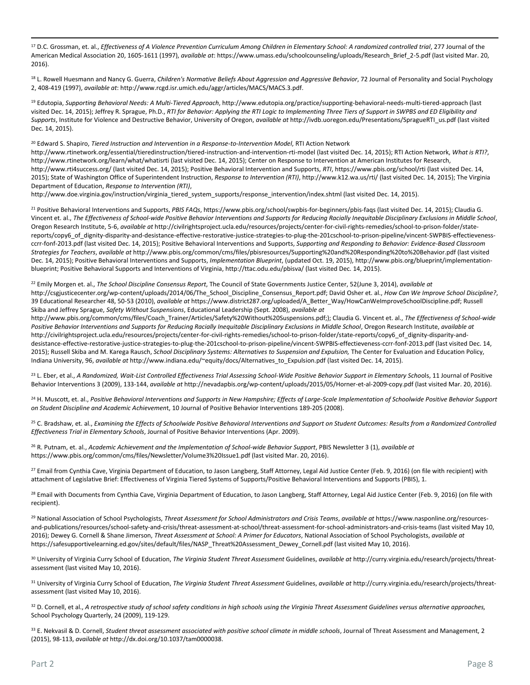<sup>17</sup> D.C. Grossman, et. al., *Effectiveness of A Violence Prevention Curriculum Among Children in Elementary School: A randomized controlled trial, 277 Journal of the* American Medical Association 20, 1605-1611 (1997), *available at*: https://www.umass.edu/schoolcounseling/uploads/Research\_Brief\_2-5.pdf (last visited Mar. 20, 2016).

<sup>18</sup> L. Rowell Huesmann and Nancy G. Guerra, *Children's Normative Beliefs About Aggression and Aggressive Behavior*, 72 Journal of Personality and Social Psychology 2, 408-419 (1997), *available at*: http://www.rcgd.isr.umich.edu/aggr/articles/MACS/MACS.3.pdf.

<sup>19</sup> Edutopia, *Supporting Behavioral Needs: A Multi-Tiered Approach*, http://www.edutopia.org/practice/supporting-behavioral-needs-multi-tiered-approach (last visited Dec. 14, 2015); Jeffrey R. Sprague, Ph.D., *RTI for Behavior: Applying the RTI Logic to Implementing Three Tiers of Support in SWPBS and ED Eligibility and Supports*, Institute for Violence and Destructive Behavior, University of Oregon, *available at* http://ivdb.uoregon.edu/Presentations/SpragueRTI\_us.pdf (last visited Dec. 14, 2015).

<sup>20</sup> Edward S. Shapiro, *Tiered Instruction and Intervention in a Response-to-Intervention Model*, RTI Action Network

http://www.rtinetwork.org/essential/tieredinstruction/tiered-instruction-and-intervention-rti-model (last visited Dec. 14, 2015); RTI Action Network, *What is RTI?*, http://www.rtinetwork.org/learn/what/whatisrti (last visited Dec. 14, 2015); Center on Response to Intervention at American Institutes for Research, http://www.rti4success.org/ (last visited Dec. 14, 2015); Positive Behavioral Intervention and Supports, *RTI*, https://www.pbis.org/school/rti (last visited Dec. 14, 2015); State of Washington Office of Superintendent Instruction, *Response to Intervention (RTI)*, http://www.k12.wa.us/rti/ (last visited Dec. 14, 2015); The Virginia Department of Education, *Response to Intervention (RTI)*,

http://www.doe.virginia.gov/instruction/virginia\_tiered\_system\_supports/response\_intervention/index.shtml (last visited Dec. 14, 2015).

<sup>21</sup> Positive Behavioral Interventions and Supports, *PBIS FAQs*, https://www.pbis.org/school/swpbis-for-beginners/pbis-faqs (last visited Dec. 14, 2015); Claudia G. Vincent et. al., *The Effectiveness of School-wide Positive Behavior Interventions and Supports for Reducing Racially Inequitable Disciplinary Exclusions in Middle School*, Oregon Research Institute, 5-6, *available at* http://civilrightsproject.ucla.edu/resources/projects/center-for-civil-rights-remedies/school-to-prison-folder/statereports/copy6\_of\_dignity-disparity-and-desistance-effective-restorative-justice-strategies-to-plug-the-201cschool-to-prison-pipeline/vincent-SWPBIS-effectievenessccrr-fonf-2013.pdf (last visited Dec. 14, 2015); Positive Behavioral Interventions and Supports, *Supporting and Responding to Behavior: Evidence-Based Classroom Strategies for Teachers*, *available at* http://www.pbis.org/common/cms/files/pbisresources/Supporting%20and%20Responding%20to%20Behavior.pdf (last visited Dec. 14, 2015); Positive Behavioral Interventions and Supports, *Implementation Blueprint*, (updated Oct. 19, 2015), http://www.pbis.org/blueprint/implementationblueprint; Positive Behavioral Supports and Interventions of Virginia, http://ttac.odu.edu/pbisva/ (last visited Dec. 14, 2015).

<sup>22</sup> Emily Morgen et. al., *The School Discipline Consensus Report*, The Council of State Governments Justice Center, 52(June 3, 2014), *available at* http://csgjusticecenter.org/wp-content/uploads/2014/06/The\_School\_Discipline\_Consensus\_Report.pdf; David Osher et. al., *How Can We Improve School Discipline?*, 39 Educational Researcher 48, 50-53 (2010), *available at* https://www.district287.org/uploaded/A\_Better\_Way/HowCanWeImproveSchoolDiscipline.pdf; Russell Skiba and Jeffrey Sprague, *Safety Without Suspensions*, Educational Leadership (Sept. 2008), *available at* 

http://www.pbis.org/common/cms/files/Coach\_Trainer/Articles/Safety%20Without%20Suspensions.pdf;); Claudia G. Vincent et. al., *The Effectiveness of School-wide Positive Behavior Interventions and Supports for Reducing Racially Inequitable Disciplinary Exclusions in Middle School*, Oregon Research Institute, *available at*  http://civilrightsproject.ucla.edu/resources/projects/center-for-civil-rights-remedies/school-to-prison-folder/state-reports/copy6\_of\_dignity-disparity-anddesistance-effective-restorative-justice-strategies-to-plug-the-201cschool-to-prison-pipeline/vincent-SWPBIS-effectieveness-ccrr-fonf-2013.pdf (last visited Dec. 14, 2015); Russell Skiba and M. Karega Rausch, *School Disciplinary Systems: Alternatives to Suspension and Expulsion,* The Center for Evaluation and Education Policy, Indiana University, 96, *available at* http://www.indiana.edu/~equity/docs/Alternatives\_to\_Expulsion.pdf (last visited Dec. 14, 2015).

<sup>23</sup> L. Eber, et al., A Randomized, Wait-List Controlled Effectiveness Trial Assessing School-Wide Positive Behavior Support in Elementary Schools, 11 Journal of Positive Behavior Interventions 3 (2009), 133-144, *available at* http://nevadapbis.org/wp-content/uploads/2015/05/Horner-et-al-2009-copy.pdf (last visited Mar. 20, 2016).

<sup>24</sup> H. Muscott, et. al., *Positive Behavioral Interventions and Supports in New Hampshire; Effects of Large-Scale Implementation of Schoolwide Positive Behavior Support on Student Discipline and Academic Achievemen*t, 10 Journal of Positive Behavior Interventions 189-205 (2008).

<sup>25</sup> C. Bradshaw, et. al., *Examining the Effects of Schoolwide Positive Behavioral Interventions and Support on Student Outcomes: Results from a Randomized Controlled Effectiveness Trial in Elementary Schools*, Journal of Positive Behavior Interventions (Apr. 2009).

<sup>26</sup> R. Putnam, et. al., *Academic Achievement and the Implementation of School-wide Behavior Support*, PBIS Newsletter 3 (1), *available at* https://www.pbis.org/common/cms/files/Newsletter/Volume3%20Issue1.pdf (last visited Mar. 20, 2016).

<sup>27</sup> Email from Cynthia Cave, Virginia Department of Education, to Jason Langberg, Staff Attorney, Legal Aid Justice Center (Feb. 9, 2016) (on file with recipient) with attachment of Legislative Brief: Effectiveness of Virginia Tiered Systems of Supports/Positive Behavioral Interventions and Supports (PBIS), 1.

<sup>28</sup> Email with Documents from Cynthia Cave, Virginia Department of Education, to Jason Langberg, Staff Attorney, Legal Aid Justice Center (Feb. 9, 2016) (on file with recipient).

<sup>29</sup> National Association of School Psychologists, Threat Assessment for School Administrators and Crisis Teams, available at [https://www.nasponline.org/resources](https://www.nasponline.org/resources-and-publications/resources/school-safety-and-crisis/threat-assessment-at-school/threat-assessment-for-school-administrators-and-crisis-teams)[and-publications/resources/school-safety-and-crisis/threat-assessment-at-school/threat-assessment-for-school-administrators-and-crisis-teams](https://www.nasponline.org/resources-and-publications/resources/school-safety-and-crisis/threat-assessment-at-school/threat-assessment-for-school-administrators-and-crisis-teams) (last visited May 10, 2016); Dewey G. Cornell & Shane Jimerson, *Threat Assessment at School: A Primer for Educators*, National Association of School Psychologists, *available at*  [https://safesupportivelearning.ed.gov/sites/default/files/NASP\\_Threat%20Assessment\\_Dewey\\_Cornell.pdf](https://safesupportivelearning.ed.gov/sites/default/files/NASP_Threat%20Assessment_Dewey_Cornell.pdf) (last visited May 10, 2016).

<sup>30</sup> University of Virginia Curry School of Education, *The Virginia Student Threat Assessment* Guidelines, *available at* http://curry.virginia.edu/research/projects/threatassessment (last visited May 10, 2016).

<sup>31</sup> University of Virginia Curry School of Education, *The Virginia Student Threat Assessment* Guidelines, *available at* http://curry.virginia.edu/research/projects/threatassessment (last visited May 10, 2016).

<sup>32</sup> D. Cornell, et al., *A retrospective study of school safety conditions in high schools using the Virginia Threat Assessment Guidelines versus alternative approaches,* School Psychology Quarterly, 24 (2009), 119-129.

33 E. Nekvasil & D. Cornell, Student threat assessment associated with positive school climate in middle schools, Journal of Threat Assessment and Management, 2 (2015), 98-113, *available at* http://dx.doi.org/10.1037/tam0000038.

 $\overline{\phantom{a}}$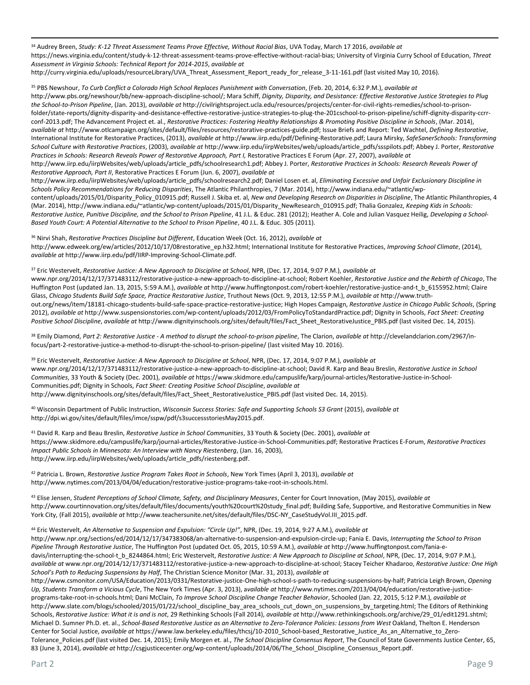<sup>34</sup> Audrey Breen, *Study: K-12 Threat Assessment Teams Prove Effective, Without Racial Bias*, UVA Today, March 17 2016, *available at* [https://news.virginia.edu/content/study-k-12-threat-assessment-teams-prove-effective-without-racial-bias;](https://news.virginia.edu/content/study-k-12-threat-assessment-teams-prove-effective-without-racial-bias) University of Virginia Curry School of Education, *Threat Assessment in Virginia Schools: Technical Report for 2014-2015*, *available at* 

http://curry.virginia.edu/uploads/resourceLibrary/UVA\_Threat\_Assessment\_Report\_ready\_for\_release\_3-11-161.pdf (last visited May 10, 2016).

<sup>35</sup> PBS Newshour, *To Curb Conflict a Colorado High School Replaces Punishment with Conversation*, (Feb. 20, 2014, 6:32 P.M.), *available at* 

http://www.pbs.org/newshour/bb/new-approach-discipline-school/; Mara Schiff, *Dignity, Disparity, and Desistance: Effective Restorative Justice Strategies to Plug the School-to-Prison Pipeline*, (Jan. 2013), *available at* http://civilrightsproject.ucla.edu/resources/projects/center-for-civil-rights-remedies/school-to-prisonfolder/state-reports/dignity-disparity-and-desistance-effective-restorative-justice-strategies-to-plug-the-201cschool-to-prison-pipeline/schiff-dignity-disparity-ccrrconf-2013.pdf; The Advancement Project et. al., *Restorative Practices: Fostering Healthy Relationships & Promoting Positive Discipline in Schools*, (Mar. 2014), *available at* http://www.otlcampaign.org/sites/default/files/resources/restorative-practices-guide.pdf; Issue Briefs and Report: Ted Wachtel, *Defining Restorative*, International Institute for Restorative Practices, (2013), *available at* http://www.iirp.edu/pdf/Defining-Restorative.pdf; Laura Mirsky, *SafeSanerSchools: Transforming School Culture with Restorative Practices*, (2003), *available at* http://www.iirp.edu/iirpWebsites/web/uploads/article\_pdfs/ssspilots.pdf; Abbey J. Porter, *Restorative Practices in Schools: Research Reveals Power of Restorative Approach, Part I,* Restorative Practices E Forum (Apr. 27, 2007), a*vailable at*  http://www.iirp.edu/iirpWebsites/web/uploads/article\_pdfs/schoolresearch1.pdf; Abbey J. Porter, *Restorative Practices in Schools: Research Reveals Power of* 

*Restorative Approach, Part II*, Restorative Practices E Forum (Jun. 6, 2007), *available at*

http://www.iirp.edu/iirpWebsites/web/uploads/article\_pdfs/schoolresearch2.pdf; Daniel Losen et. al, *Eliminating Excessive and Unfair Exclusionary Discipline in Schools Policy Recommendations for Reducing Disparities*, The Atlantic Philanthropies, 7 (Mar. 2014), http://www.indiana.edu/~atlantic/wp-

content/uploads/2015/01/Disparity\_Policy\_010915.pdf; Russell J. Skiba et. al, *New and Developing Research on Disparities in Discipline*, The Atlantic Philanthropies, 4 (Mar. 2014), http://www.indiana.edu/~atlantic/wp-content/uploads/2015/01/Disparity\_NewResearch\_010915.pdf; Thalia Gonzalez, *Keeping Kids in Schools:*  Restorative Justice, Punitive Discipline, and the School to Prison Pipeline, 41 J.L. & Educ. 281 (2012); Heather A. Cole and Julian Vasquez Heilig, Developing a School-*Based Youth Court: A Potential Alternative to the School to Prison Pipeline*, 40 J.L. & Educ. 305 (2011).

<sup>36</sup> Nirvi Shah, *Restorative Practices Discipline but Different*, Education Week (Oct. 16, 2012), *available at*  http://www.edweek.org/ew/articles/2012/10/17/08restorative\_ep.h32.html; International Institute for Restorative Practices, *Improving School Climate*, (2014), *available at* http://www.iirp.edu/pdf/IIRP-Improving-School-Climate.pdf.

<sup>37</sup> Eric Westervelt, *Restorative Justice: A New Approach to Discipline at School*, NPR, (Dec. 17, 2014, 9:07 P.M.), *available at* 

www.npr.org/2014/12/17/371483112/restorative-justice-a-new-approach-to-discipline-at-school; Robert Koehler, *Restorative Justice and the Rebirth of Chicago*, The Huffington Post (updated Jan. 13, 2015, 5:59 A.M.), *available at* http://www.huffingtonpost.com/robert-koehler/restorative-justice-and-t\_b\_6155952.html; Claire Glass, *Chicago Students Build Safe Space, Practice Restorative Justice*, Truthout News (Oct. 9, 2013, 12:55 P.M.), *available at* http://www.truthout.org/news/item/18181-chicago-students-build-safe-space-practice-restorative-justice; High Hopes Campaign, *Restorative Justice in Chicago Public Schools*, (Spring 2012), *available at* http://www.suspensionstories.com/wp-content/uploads/2012/03/FromPolicyToStandardPractice.pdf; Dignity in Schools, *Fact Sheet: Creating Positive School Discipline*, *available at* http://www.dignityinschools.org/sites/default/files/Fact\_Sheet\_RestorativeJustice\_PBIS.pdf (last visited Dec. 14, 2015).

<sup>38</sup> Emily Diamond, *Part 2: Restorative Justice - A method to disrupt the school-to-prison pipeline*, The Clarion, *available at* http://clevelandclarion.com/2967/infocus/part-2-restorative-justice-a-method-to-disrupt-the-school-to-prison-pipeline/ (last visited May 10. 2016).

<sup>39</sup> Eric Westervelt, *Restorative Justice: A New Approach to Discipline at School*, NPR, (Dec. 17, 2014, 9:07 P.M.), *available at*  www.npr.org/2014/12/17/371483112/restorative-justice-a-new-approach-to-discipline-at-school; David R. Karp and Beau Breslin, *Restorative Justice in School Communities*, 33 Youth & Society (Dec. 2001), *available at* https://www.skidmore.edu/campuslife/karp/journal-articles/Restorative-Justice-in-School-Communities.pdf; Dignity in Schools, *Fact Sheet: Creating Positive School Discipline*, *available at*  http://www.dignityinschools.org/sites/default/files/Fact\_Sheet\_RestorativeJustice\_PBIS.pdf (last visited Dec. 14, 2015).

<sup>40</sup> Wisconsin Department of Public Instruction, *Wisconsin Success Stories: Safe and Supporting Schools S3 Grant* (2015), *available at* http://dpi.wi.gov/sites/default/files/imce/sspw/pdf/s3successstoriesMay2015.pdf.

<sup>41</sup> David R. Karp and Beau Breslin, *Restorative Justice in School Communities*, 33 Youth & Society (Dec. 2001), *available at*  https://www.skidmore.edu/campuslife/karp/journal-articles/Restorative-Justice-in-School-Communities.pdf; Restorative Practices E-Forum, *Restorative Practices Impact Public Schools in Minnesota: An Interview with Nancy Riestenberg*, (Jan. 16, 2003), http://www.iirp.edu/iirpWebsites/web/uploads/article\_pdfs/riestenberg.pdf.

<sup>42</sup> Patricia L. Brown, *Restorative Justice Program Takes Root in Schools*, New York Times (April 3, 2013), *available at* http://www.nytimes.com/2013/04/04/education/restorative-justice-programs-take-root-in-schools.html.

<sup>43</sup> Elise Jensen, *Student Perceptions of School Climate, Safety, and Disciplinary Measures*, Center for Court Innovation, (May 2015), *available at*  http://www.courtinnovation.org/sites/default/files/documents/youth%20court%20study final.pdf; Building Safe, Supportive, and Restorative Communities in New York City, (Fall 2015), *available at* http://www.teachersunite.net/sites/default/files/DSC-NY\_CaseStudyVol.III\_2015.pdf.

<sup>44</sup> Eric Westervelt, *An Alternative to Suspension and Expulsion: "Circle Up!"*, NPR, (Dec. 19, 2014, 9:27 A.M.), *available at* 

http://www.npr.org/sections/ed/2014/12/17/347383068/an-alternative-to-suspension-and-expulsion-circle-up; Fania E. Davis, *Interrupting the School to Prison Pipeline Through Restorative Justice*, The Huffington Post (updated Oct. 05, 2015, 10:59 A.M.), *available at* http://www.huffingtonpost.com/fania-edavis/interrupting-the-school-t\_b\_8244864.html; Eric Westervelt, *Restorative Justice: A New Approach to Discipline at School*, NPR, (Dec. 17, 2014, 9:07 P.M.), *available at* www.npr.org/2014/12/17/371483112/restorative-justice-a-new-approach-to-discipline-at-school; Stacey Teicher Khadaroo, *Restorative Justice: One High School's Path to Reducing Suspensions by Half*, The Christian Science Monitor (Mar. 31, 2013), *available at* 

http://www.csmonitor.com/USA/Education/2013/0331/Restorative-justice-One-high-school-s-path-to-reducing-suspensions-by-half; Patricia Leigh Brown, *Opening Up, Students Transform a Vicious Cycle*, The New York Times (Apr. 3, 2013), a*vailable at* http://www.nytimes.com/2013/04/04/education/restorative-justiceprograms-take-root-in-schools.html; Dani McClain, *To Improve School Discipline Change Teacher Behavior*, Schooled (Jan. 22, 2015, 5:12 P.M.), *available at*  http://www.slate.com/blogs/schooled/2015/01/22/school\_discipline\_bay\_area\_schools\_cut\_down\_on\_suspensions\_by\_targeting.html; The Editors of Rethinking Schools, *Restorative Justice: What it is and is not*, 29 Rethinking Schools (Fall 2014), *available at* http://www.rethinkingschools.org/archive/29\_01/edit1291.shtml; Michael D. Sumner Ph.D. et. al., *School-Based Restorative Justice as an Alternative to Zero-Tolerance Policies: Lessons from West Oakland, Thelton E. Henderson* Center for Social Justice, *available at* https://www.law.berkeley.edu/files/thcsj/10-2010\_School-based\_Restorative\_Justice\_As\_an\_Alternative\_to\_Zero-Tolerance\_Policies.pdf (last visited Dec. 14, 2015); Emily Morgen et. al., *The School Discipline Consensus Report*, The Council of State Governments Justice Center, 65, 83 (June 3, 2014), *available at* http://csgjusticecenter.org/wp-content/uploads/2014/06/The School Discipline Consensus Report.pdf.

 $\overline{\phantom{a}}$